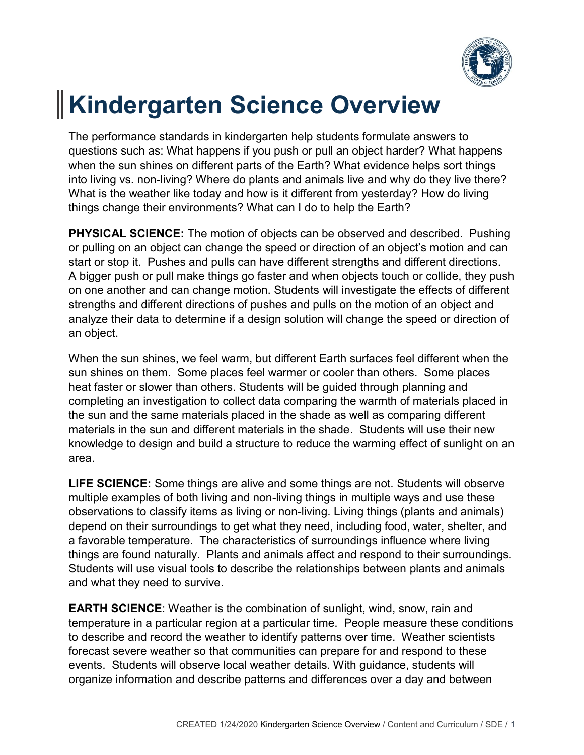

## **Kindergarten Science Overview**

The performance standards in kindergarten help students formulate answers to questions such as: What happens if you push or pull an object harder? What happens when the sun shines on different parts of the Earth? What evidence helps sort things into living vs. non-living? Where do plants and animals live and why do they live there? What is the weather like today and how is it different from yesterday? How do living things change their environments? What can I do to help the Earth?

**PHYSICAL SCIENCE:** The motion of objects can be observed and described. Pushing or pulling on an object can change the speed or direction of an object's motion and can start or stop it. Pushes and pulls can have different strengths and different directions. A bigger push or pull make things go faster and when objects touch or collide, they push on one another and can change motion. Students will investigate the effects of different strengths and different directions of pushes and pulls on the motion of an object and analyze their data to determine if a design solution will change the speed or direction of an object.

When the sun shines, we feel warm, but different Earth surfaces feel different when the sun shines on them. Some places feel warmer or cooler than others. Some places heat faster or slower than others. Students will be guided through planning and completing an investigation to collect data comparing the warmth of materials placed in the sun and the same materials placed in the shade as well as comparing different materials in the sun and different materials in the shade. Students will use their new knowledge to design and build a structure to reduce the warming effect of sunlight on an area.

**LIFE SCIENCE:** Some things are alive and some things are not. Students will observe multiple examples of both living and non-living things in multiple ways and use these observations to classify items as living or non-living. Living things (plants and animals) depend on their surroundings to get what they need, including food, water, shelter, and a favorable temperature. The characteristics of surroundings influence where living things are found naturally. Plants and animals affect and respond to their surroundings. Students will use visual tools to describe the relationships between plants and animals and what they need to survive.

**EARTH SCIENCE**: Weather is the combination of sunlight, wind, snow, rain and temperature in a particular region at a particular time. People measure these conditions to describe and record the weather to identify patterns over time. Weather scientists forecast severe weather so that communities can prepare for and respond to these events. Students will observe local weather details. With guidance, students will organize information and describe patterns and differences over a day and between